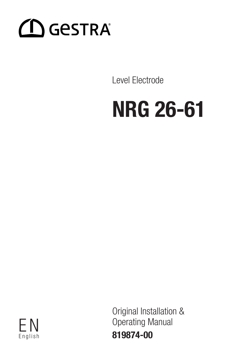

Level Electrode

# NRG 26-61



Original Installation & F N Operating Manual 819874-00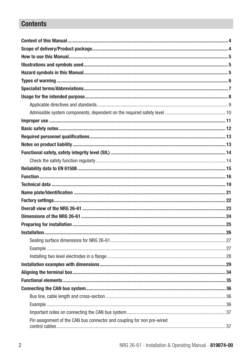# **Contents**

| Pin assignment of the CAN bus connector and coupling for non pre-wired |  |
|------------------------------------------------------------------------|--|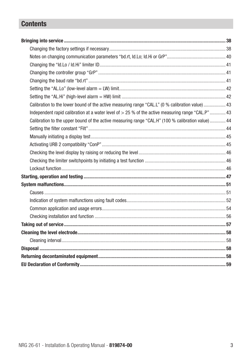# **Contents**

| Calibration to the lower bound of the active measuring range "CAL.L" (0 % calibration value)  43  |  |
|---------------------------------------------------------------------------------------------------|--|
| Independent rapid calibration at a water level of > 25 % of the active measuring range "CAL.P" 43 |  |
| Calibration to the upper bound of the active measuring range "CAL.H" (100 % calibration value) 44 |  |
|                                                                                                   |  |
|                                                                                                   |  |
|                                                                                                   |  |
|                                                                                                   |  |
|                                                                                                   |  |
|                                                                                                   |  |
|                                                                                                   |  |
|                                                                                                   |  |
|                                                                                                   |  |
|                                                                                                   |  |
|                                                                                                   |  |
|                                                                                                   |  |
|                                                                                                   |  |
|                                                                                                   |  |
|                                                                                                   |  |
|                                                                                                   |  |
|                                                                                                   |  |
|                                                                                                   |  |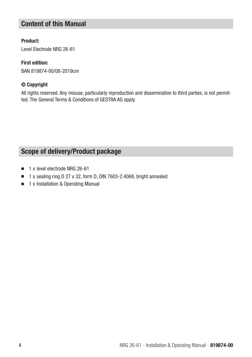### Content of this Manual

### Product:

Level Electrode NRG 26-61

### First edition:

BAN 819874-00/08-2019cm

### © Copyright

All rights reserved. Any misuse, particularly reproduction and dissemination to third parties, is not permitted. The General Terms & Conditions of GESTRA AG apply.

# Scope of delivery/Product package

- 1 x level electrode NRG 26-61
- 1 x sealing ring D 27 x 32, form D, DIN 7603-2.4068, bright annealed
- 1 x Installation & Operating Manual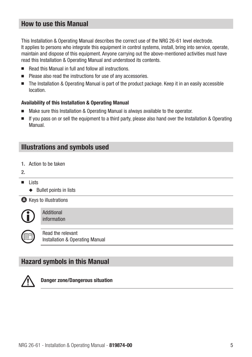### How to use this Manual

This Installation & Operating Manual describes the correct use of the NRG 26-61 level electrode. It applies to persons who integrate this equipment in control systems, install, bring into service, operate, maintain and dispose of this equipment. Anyone carrying out the above-mentioned activities must have read this Installation & Operating Manual and understood its contents.

- Read this Manual in full and follow all instructions.
- Please also read the instructions for use of any accessories.
- The Installation & Operating Manual is part of the product package. Keep it in an easily accessible location.

### Availability of this Installation & Operating Manual

- Make sure this Installation & Operating Manual is always available to the operator.
- If you pass on or sell the equipment to a third party, please also hand over the Installation & Operating Manual.

### Illustrations and symbols used

- 1. Action to be taken
- 2.
- Lists
	- ◆ Bullet points in lists

**A** Keys to illustrations



Additional information



Read the relevant Installation & Operating Manual

### Hazard symbols in this Manual



Danger zone/Dangerous situation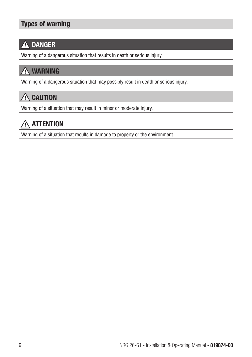# Types of warning

# **A DANGER**

Warning of a dangerous situation that results in death or serious injury.

# **WARNING**

Warning of a dangerous situation that may possibly result in death or serious injury.

# $\bigwedge$  CAUTION

Warning of a situation that may result in minor or moderate injury.

# $\land$  attention

Warning of a situation that results in damage to property or the environment.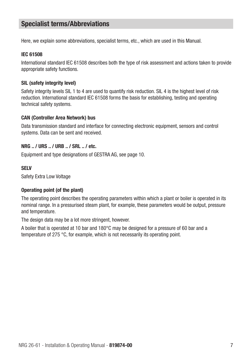### Specialist terms/Abbreviations

Here, we explain some abbreviations, specialist terms, etc., which are used in this Manual.

#### IEC 61508

International standard IEC 61508 describes both the type of risk assessment and actions taken to provide appropriate safety functions.

### SIL (safety integrity level)

Safety integrity levels SIL 1 to 4 are used to quantify risk reduction. SIL 4 is the highest level of risk reduction. International standard IEC 61508 forms the basis for establishing, testing and operating technical safety systems.

### CAN (Controller Area Network) bus

Data transmission standard and interface for connecting electronic equipment, sensors and control systems. Data can be sent and received.

### NRG .. / URS .. / URB .. / SRL .. / etc.

Equipment and type designations of GESTRA AG, see page 10.

### **SELV**

Safety Extra Low Voltage

### Operating point (of the plant)

The operating point describes the operating parameters within which a plant or boiler is operated in its nominal range. In a pressurised steam plant, for example, these parameters would be output, pressure and temperature.

The design data may be a lot more stringent, however.

A boiler that is operated at 10 bar and 180°C may be designed for a pressure of 60 bar and a temperature of 275 °C, for example, which is not necessarily its operating point.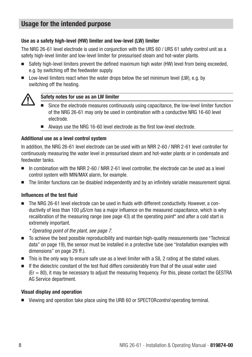### Usage for the intended purpose

### Use as a safety high-level (HW) limiter and low-level (LW) limiter

The NRG 26-61 level electrode is used in conjunction with the URS 60 / URS 61 safety control unit as a safety high-level limiter and low-level limiter for pressurised steam and hot-water plants.

- Safety high-level limiters prevent the defined maximum high water (HW) level from being exceeded. e.g. by switching off the feedwater supply.
- Low-level limiters react when the water drops below the set minimum level (LW), e.g. by switching off the heating.



#### Safety notes for use as an LW limiter

- Since the electrode measures continuously using capacitance, the low-level limiter function of the NRG 26-61 may only be used in combination with a conductive NRG 16-60 level electrode.
- Always use the NRG 16-60 level electrode as the first low-level electrode.

### Additional use as a level control system

In addition, the NRG 26-61 level electrode can be used with an NRR 2-60 / NRR 2-61 level controller for continuously measuring the water level in pressurised steam and hot-water plants or in condensate and feedwater tanks.

- In combination with the NRR 2-60 / NRR 2-61 level controller, the electrode can be used as a level control system with MIN/MAX alarm, for example.
- The limiter functions can be disabled independently and by an infinitely variable measurement signal.

### Influences of the test fluid

■ The NRG 26-61 level electrode can be used in fluids with different conductivity. However, a conductivity of less than 100 μS/cm has a major influence on the measured capacitance, which is why recalibration of the measuring range (see page 43) at the operating point\* and after a cold start is extremely important.

*\* Operating point of the plant, see page 7.*

- To achieve the best possible reproducibility and maintain high-quality measurements (see "Technical data" on page 19), the sensor must be installed in a protective tube (see "Installation examples with dimensions" on page 29 ff.).
- This is the only way to ensure safe use as a level limiter with a SIL 2 rating at the stated values.
- If the dielectric constant of the test fluid differs considerably from that of the usual water used  $(Er = 80)$ , it may be necessary to adjust the measuring frequency. For this, please contact the GESTRA AG Service department.

#### Visual display and operation

■ Viewing and operation take place using the URB 60 or SPECTOR*control* operating terminal.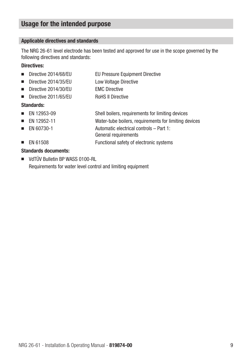### Usage for the intended purpose

### Applicable directives and standards

The NRG 26-61 level electrode has been tested and approved for use in the scope governed by the following directives and standards:

### Directives:

- Directive 2014/68/EU EU Pressure Equipment Directive
- Directive 2014/35/EU Low Voltage Directive
- Directive 2014/30/FU FMC Directive
- Directive 2011/65/FU RoHS II Directive

### Standards:

- EN 12953-09 Shell boilers, requirements for limiting devices
- EN 12952-11 Water-tube boilers, requirements for limiting devices
- EN 60730-1 Automatic electrical controls Part 1:

General requirements

■ EN 61508 Functional safety of electronic systems

### Standards documents:

■ VdTÜV Bulletin BP WASS 0100-RL Requirements for water level control and limiting equipment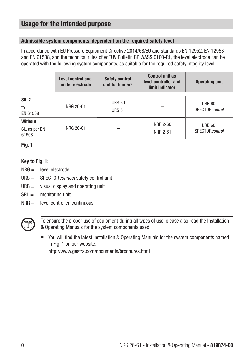### Usage for the intended purpose

### Admissible system components, dependent on the required safety level

In accordance with EU Pressure Equipment Directive 2014/68/EU and standards EN 12952, EN 12953 and EN 61508, and the technical rules of VdTÜV Bulletin BP WASS 0100-RL, the level electrode can be operated with the following system components, as suitable for the required safety integrity level.

|                                          | <b>Level control and</b><br>limiter electrode | <b>Safety control</b><br>unit for limiters | <b>Control unit as</b><br>level controller and<br>limit indicator | <b>Operating unit</b>                    |
|------------------------------------------|-----------------------------------------------|--------------------------------------------|-------------------------------------------------------------------|------------------------------------------|
| SIL <sub>2</sub><br>to<br>EN 61508       | NRG 26-61                                     | <b>URS 60</b><br><b>URS 61</b>             |                                                                   | <b>URB 60,</b><br><b>SPECTOR</b> control |
| <b>Without</b><br>SIL as per EN<br>61508 | NRG 26-61                                     |                                            | NRR 2-60<br>NRR 2-61                                              | <b>URB 60,</b><br><b>SPECTOR</b> control |

### Fig. 1

### Key to Fig. 1:

- NRG = level electrode
- URS = SPECTORconnect safety control unit
- $URB =$  visual display and operating unit
- SRL = monitoring unit
- NRR = level controller, continuous



To ensure the proper use of equipment during all types of use, please also read the Installation & Operating Manuals for the system components used.

■ You will find the latest Installation & Operating Manuals for the system components named in Fig. 1 on our website:

http://www.gestra.com/documents/brochures.html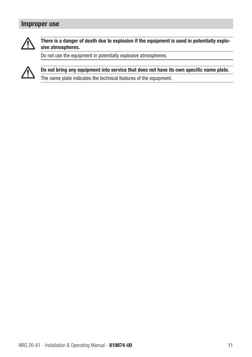### Improper use



### There is a danger of death due to explosion if the equipment is used in potentially explosive atmospheres.

Do not use the equipment in potentially explosive atmospheres.



Do not bring any equipment into service that does not have its own specific name plate.

The name plate indicates the technical features of the equipment.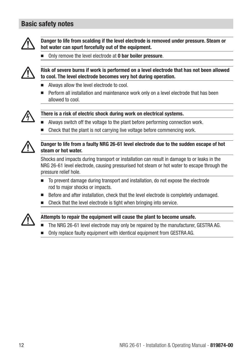### Basic safety notes



Danger to life from scalding if the level electrode is removed under pressure. Steam or hot water can spurt forcefully out of the equipment.

Only remove the level electrode at 0 bar boiler pressure.



### Risk of severe burns if work is performed on a level electrode that has not been allowed to cool. The level electrode becomes very hot during operation.

- Always allow the level electrode to cool.
- Perform all installation and maintenance work only on a level electrode that has been allowed to cool.



#### There is a risk of electric shock during work on electrical systems.

- Always switch off the voltage to the plant before performing connection work.
- Check that the plant is not carrying live voltage before commencing work.



### Danger to life from a faulty NRG 26-61 level electrode due to the sudden escape of hot steam or hot water.

Shocks and impacts during transport or installation can result in damage to or leaks in the NRG 26-61 level electrode, causing pressurised hot steam or hot water to escape through the pressure relief hole.

- To prevent damage during transport and installation, do not expose the electrode rod to major shocks or impacts.
- Before and after installation, check that the level electrode is completely undamaged.
- Check that the level electrode is tight when bringing into service.



### Attempts to repair the equipment will cause the plant to become unsafe.

- The NRG 26-61 level electrode may only be repaired by the manufacturer, GESTRA AG.
- Only replace faulty equipment with identical equipment from GESTRA AG.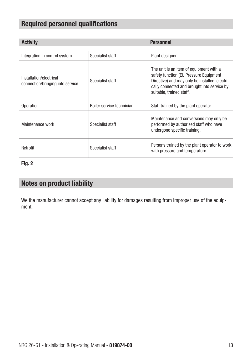# Required personnel qualifications

| <b>Activity</b>                                             |                           | <b>Personnel</b>                                                                                                                                                                                               |
|-------------------------------------------------------------|---------------------------|----------------------------------------------------------------------------------------------------------------------------------------------------------------------------------------------------------------|
|                                                             |                           |                                                                                                                                                                                                                |
| Integration in control system                               | Specialist staff          | Plant designer                                                                                                                                                                                                 |
| Installation/electrical<br>connection/bringing into service | Specialist staff          | The unit is an item of equipment with a<br>safety function (EU Pressure Equipment<br>Directive) and may only be installed, electri-<br>cally connected and brought into service by<br>suitable, trained staff. |
| Operation                                                   | Boiler service technician | Staff trained by the plant operator.                                                                                                                                                                           |
| Maintenance work                                            | Specialist staff          | Maintenance and conversions may only be<br>performed by authorised staff who have<br>undergone specific training.                                                                                              |
| Retrofit                                                    | Specialist staff          | Persons trained by the plant operator to work<br>with pressure and temperature.                                                                                                                                |

### Fig. 2

### Notes on product liability

We the manufacturer cannot accept any liability for damages resulting from improper use of the equipment.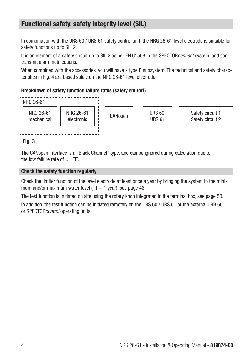### Functional safety, safety integrity level (SIL)

In combination with the URS 60 / URS 61 safety control unit, the NRG 26-61 level electrode is suitable for safety functions up to SIL 2.

It is an element of a safety circuit up to SIL 2 as per EN 61508 in the SPECTOR*connect* system, and can transmit alarm notifications.

When combined with the accessories, you will have a type B subsystem. The technical and safety characteristics in Fig. 4 are based solely on the NRG 26-61 level electrode.

### Breakdown of safety function failure rates (safety shutoff)



### Fig. 3

The CANopen interface is a "Black Channel" type, and can be ignored during calculation due to the low failure rate of < 1FIT.

### Check the safety function regularly

Check the limiter function of the level electrode at least once a year by bringing the system to the minimum and/or maximum water level  $(T1 = 1$  year), see page 46.

The test function is initiated on site using the rotary knob integrated in the terminal box, see page 50. In addition, the test function can be initiated remotely on the URS 60 / URS 61 or the external URB 60 or SPECTORcontrol operating units.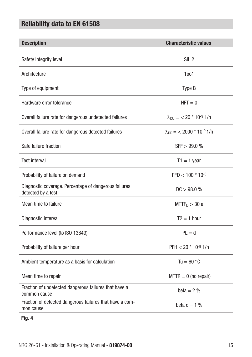# Reliability data to EN 61508

| <b>Description</b>                                                           | <b>Characteristic values</b>       |
|------------------------------------------------------------------------------|------------------------------------|
| Safety integrity level                                                       | SIL <sub>2</sub>                   |
| Architecture                                                                 | 1001                               |
| Type of equipment                                                            | Type B                             |
| Hardware error tolerance                                                     | $HFT = 0$                          |
| Overall failure rate for dangerous undetected failures                       | $\lambda_{DU} = 20 * 10^{-9}$ 1/h  |
| Overall failure rate for dangerous detected failures                         | $\lambda_{DD}$ = < 2000 * 10-9 1/h |
| Safe failure fraction                                                        | SFF > 99.0 %                       |
| <b>Test interval</b>                                                         | $T1 = 1$ year                      |
| Probability of failure on demand                                             | $PFD < 100 * 10^{-6}$              |
| Diagnostic coverage. Percentage of dangerous failures<br>detected by a test. | DC > 98.0 %                        |
| Mean time to failure                                                         | $MTTF_D > 30$ a                    |
| Diagnostic interval                                                          | $T2 = 1$ hour                      |
| Performance level (to ISO 13849)                                             | $PL = d$                           |
| Probability of failure per hour                                              | $PFH < 20 * 10^{-9}$ 1/h           |
| Ambient temperature as a basis for calculation                               | Tu = $60^{\circ}$ C                |
| Mean time to repair                                                          | $MTTR = 0$ (no repair)             |
| Fraction of undetected dangerous failures that have a<br>common cause        | beta $= 2\%$                       |
| Fraction of detected dangerous failures that have a com-<br>mon cause        | beta $d = 1$ %                     |

### Fig. 4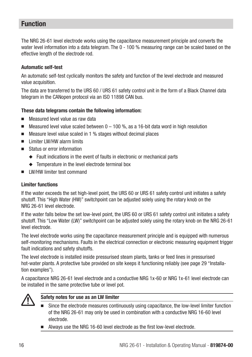### Function

The NRG 26-61 level electrode works using the capacitance measurement principle and converts the water level information into a data telegram. The 0 - 100 % measuring range can be scaled based on the effective length of the electrode rod.

### Automatic self-test

An automatic self-test cyclically monitors the safety and function of the level electrode and measured value acquisition.

The data are transferred to the URS 60 / URS 61 safety control unit in the form of a Black Channel data telegram in the CANopen protocol via an ISO 11898 CAN bus.

### These data telegrams contain the following information:

- Measured level value as raw data
- Measured level value scaled between  $0 100 %$ , as a 16-bit data word in high resolution
- Measure level value scaled in 1 % stages without decimal places
- Limiter LW/HW alarm limits
- Status or error information
	- ◆ Fault indications in the event of faults in electronic or mechanical parts
	- ◆ Temperature in the level electrode terminal box
- LW/HW limiter test command

### Limiter functions

If the water exceeds the set high-level point, the URS 60 or URS 61 safety control unit initiates a safety shutoff. This "High Water (HW)" switchpoint can be adjusted solely using the rotary knob on the NRG 26-61 level electrode.

If the water falls below the set low-level point, the URS 60 or URS 61 safety control unit initiates a safety shutoff. This "Low Water (LW)" switchpoint can be adjusted solely using the rotary knob on the NRG 26-61 level electrode.

The level electrode works using the capacitance measurement principle and is equipped with numerous self-monitoring mechanisms. Faults in the electrical connection or electronic measuring equipment trigger fault indications and safety shutoffs.

The level electrode is installed inside pressurised steam plants, tanks or feed lines in pressurised hot-water plants. A protective tube provided on site keeps it functioning reliably (see page 29 "Installation examples").

A capacitance NRG 26-61 level electrode and a conductive NRG 1x-60 or NRG 1x-61 level electrode can be installed in the same protective tube or level pot.



### Safety notes for use as an LW limiter

- Since the electrode measures continuously using capacitance, the low-level limiter function of the NRG 26-61 may only be used in combination with a conductive NRG 16-60 level electrode.
- Always use the NRG 16-60 level electrode as the first low-level electrode.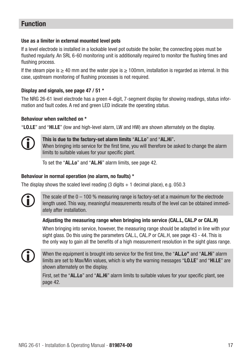### Function

### Use as a limiter in external mounted level pots

If a level electrode is installed in a lockable level pot outside the boiler, the connecting pipes must be flushed regularly. An SRL 6-60 monitoring unit is additionally required to monitor the flushing times and flushing process.

If the steam pipe is  $\geq 40$  mm and the water pipe is  $\geq 100$ mm, installation is regarded as internal. In this case, upstream monitoring of flushing processes is not required.

### Display and signals, see page 47 / 51 \*

The NRG 26-61 level electrode has a green 4-digit, 7-segment display for showing readings, status information and fault codes. A red and green LED indicate the operating status.

### Behaviour when switched on \*

"LO.LE" and "HI.LE" (low and high-level alarm, LW and HW) are shown alternately on the display.



This is due to the factory-set alarm limits "AL.Lo" and "AL.Hi". When bringing into service for the first time, you will therefore be asked to change the alarm limits to suitable values for your specific plant.

To set the "AL.Lo" and "AL.Hi" alarm limits, see page 42.

#### Behaviour in normal operation (no alarm, no faults) \*

The display shows the scaled level reading  $(3 \text{ digits} + 1 \text{ decimal place})$ , e.g. 050.3

The scale of the  $0 - 100$  % measuring range is factory-set at a maximum for the electrode length used. This way, meaningful measurements results of the level can be obtained immediately after installation.

### Adjusting the measuring range when bringing into service (CAL.L, CAL.P or CAL.H)

When bringing into service, however, the measuring range should be adapted in line with your sight glass. Do this using the parameters CAL.L, CAL.P or CAL.H, see page 43 - 44. This is the only way to gain all the benefits of a high measurement resolution in the sight glass range.



When the equipment is brought into service for the first time, the "AL.Lo" and "AL.Hi" alarm limits are set to Max/Min values, which is why the warning messages "LO.LE" and "HI.LE" are shown alternately on the display.

First, set the "AL.Lo" and "AL.Hi" alarm limits to suitable values for your specific plant, see page 42.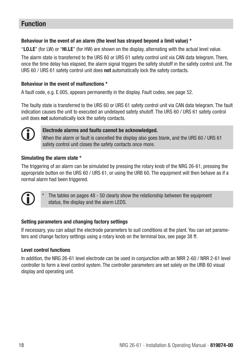### Function

### Behaviour in the event of an alarm (the level has strayed beyond a limit value) \*

"LO.LE" (for LW) or "HI.LE" (for HW) are shown on the display, alternating with the actual level value.

The alarm state is transferred to the URS 60 or URS 61 safety control unit via CAN data telegram. There, once the time delay has elapsed, the alarm signal triggers the safety shutoff in the safety control unit. The URS 60 / URS 61 safety control unit does not automatically lock the safety contacts.

### Behaviour in the event of malfunctions \*

A fault code, e.g. E.005, appears permanently in the display. Fault codes, see page 52.

The faulty state is transferred to the URS 60 or URS 61 safety control unit via CAN data telegram. The fault indication causes the unit to executed an undelayed safety shutoff. The URS 60 / URS 61 safety control unit does not automatically lock the safety contacts.



### Electrode alarms and faults cannot be acknowledged.

When the alarm or fault is cancelled the display also goes blank, and the URS 60 / URS 61 safety control unit closes the safety contacts once more.

### Simulating the alarm state \*

The triggering of an alarm can be simulated by pressing the rotary knob of the NRG 26-61, pressing the appropriate button on the URS 60 / URS 61, or using the URB 60. The equipment will then behave as if a normal alarm had been triggered.



The tables on pages 48 - 50 clearly show the relationship between the equipment status, the display and the alarm LEDS.

### Setting parameters and changing factory settings

If necessary, you can adapt the electrode parameters to suit conditions at the plant. You can set parameters and change factory settings using a rotary knob on the terminal box, see page 38 ff.

### Level control functions

In addition, the NRG 26-61 level electrode can be used in conjunction with an NRR 2-60 / NRR 2-61 level controller to form a level control system. The controller parameters are set solely on the URB 60 visual display and operating unit.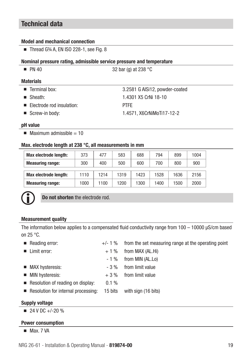### Technical data

#### Model and mechanical connection

■ Thread G34 A, EN ISO 228-1, see Fig. 8

#### Nominal pressure rating, admissible service pressure and temperature

| 32 bar (g) at 238 $^{\circ}$ C |  |
|--------------------------------|--|
|                                |  |
| 3.2581 G AISi12, powder-coated |  |
| 1.4301 X5 CrNi 18-10           |  |
| <b>PTFF</b>                    |  |
| 1.4571, X6CrNiMoTi17-12-2      |  |
|                                |  |

#### pH value

 $\blacksquare$  Maximum admissible  $=$  10

#### Max. electrode length at 238 °C, all measurements in mm

| <b>Max electrode length:</b> | 373  | 477  | 583  | 688  | 794  | 899  | 1004 |
|------------------------------|------|------|------|------|------|------|------|
| <b>Measuring range:</b>      | 300  | 400  | 500  | 600  | 700  | 800  | 900  |
| <b>Max electrode length:</b> | 1110 | 1214 | 1319 | 1423 | 1528 | 1636 | 2156 |
| <b>Measuring range:</b>      | 1000 | 1100 | 1200 | 1300 | 1400 | 1500 | 2000 |



Do not shorten the electrode rod.

### Measurement quality

The information below applies to a compensated fluid conductivity range from 100 – 10000 uS/cm based on 25 °C.

**■ Reading error:**  $+/-1$  % from the set measuring range at the operating point  $\blacksquare$  Limit error:  $+ 1 \%$  from MAX (AL.Hi)  $-1$  % from MIN (AL.Lo) ■ MAX hysteresis:  $-3\%$  from limit value ■ MIN hysteresis:  $+3\%$  from limit value ■ Resolution of reading on display: 0.1 % ■ Resolution for internal processing: 15 bits with sign (16 bits)

### Supply voltage

 $\blacksquare$  24 V DC +/-20 %

#### Power consumption

■ Max 7 VA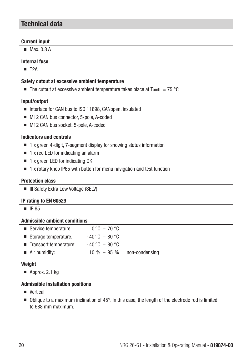### Technical data

### Current input

■ Max 0.3 A

### Internal fuse

■ T<sub>2</sub>A

### Safety cutout at excessive ambient temperature

**The cutout at excessive ambient temperature takes place at Tamb.** = 75 °C

### Input/output

- Interface for CAN bus to ISO 11898, CANopen, insulated
- M12 CAN bus connector, 5-pole, A-coded
- M12 CAN bus socket, 5-pole, A-coded

### Indicators and controls

- 1 x green 4-digit, 7-segment display for showing status information
- 1 x red LED for indicating an alarm
- 1 x green LED for indicating OK
- 1 x rotary knob IP65 with button for menu navigation and test function

### Protection class

■ III Safety Extra Low Voltage (SELV)

### IP rating to EN 60529

■ IP 65

### Admissible ambient conditions

| ■ Service temperature:       | $0^{\circ}$ C $-70^{\circ}$ C |                |
|------------------------------|-------------------------------|----------------|
| Storage temperature:         | $-40\degree C - 80\degree C$  |                |
| ■ Transport temperature:     | $-40\degree C - 80\degree C$  |                |
| $\blacksquare$ Air humidity: | $10 \% - 95 \%$               | non-condensing |

### **Weight**

■ Approx. 2.1 kg

### Admissible installation positions

- Vertical
- Oblique to a maximum inclination of 45°. In this case, the length of the electrode rod is limited to 688 mm maximum.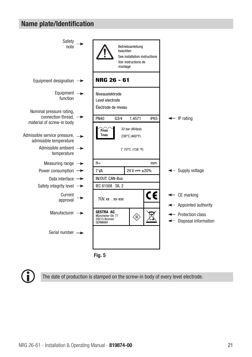### Name plate/Identification





The date of production is stamped on the screw-in body of every level electrode.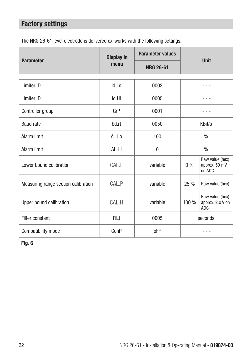# Factory settings

The NRG 26-61 level electrode is delivered ex-works with the following settings:

|                                     | <b>Display in</b> | <b>Parameter values</b> |               |                                                   |
|-------------------------------------|-------------------|-------------------------|---------------|---------------------------------------------------|
| <b>Parameter</b>                    | menu              | <b>NRG 26-61</b>        |               | <b>Unit</b>                                       |
| Limiter ID                          | Id.Lo             | 0002                    |               |                                                   |
| Limiter ID                          | Id.Hi             | 0005                    |               |                                                   |
| Controller group                    | GrP               | 0001                    |               |                                                   |
| <b>Baud rate</b>                    | bd.rt             | 0050                    |               | KBit/s                                            |
| Alarm limit                         | AL.Lo             | 100                     | $\frac{0}{0}$ |                                                   |
| Alarm limit                         | AL.Hi             | $\theta$                |               | $\frac{0}{0}$                                     |
| Lower bound calibration             | CAL               | variable                | $0\%$         | Raw value (hex)<br>approx. 50 mV<br>on ADC        |
| Measuring range section calibration | CAL.P             | variable                | 25%           | Raw value (hex)                                   |
| Upper bound calibration             | CAL.H             | variable                | 100 %         | Raw value (hex)<br>approx. 2.0 V on<br><b>ADC</b> |
| Filter constant                     | FiLt              | 0005                    | seconds       |                                                   |
| Compatibility mode                  | ConP              | 0FF                     |               |                                                   |

Fig. 6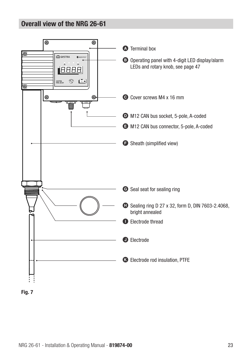### Overall view of the NRG 26-61



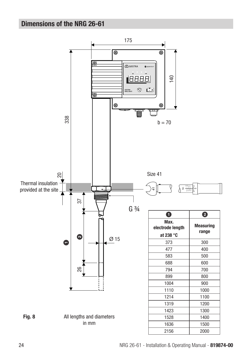# Dimensions of the NRG 26-61

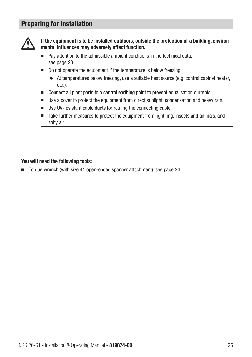### Preparing for installation



If the equipment is to be installed outdoors, outside the protection of a building, environmental influences may adversely affect function.

- Pay attention to the admissible ambient conditions in the technical data, see page 20.
- Do not operate the equipment if the temperature is below freezing.
	- ◆ At temperatures below freezing, use a suitable heat source (e.g. control cabinet heater, etc.).
- Connect all plant parts to a central earthing point to prevent equalisation currents.
- Use a cover to protect the equipment from direct sunlight, condensation and heavy rain.
- Use UV-resistant cable ducts for routing the connecting cable.
- Take further measures to protect the equipment from lightning, insects and animals, and salty air.

### You will need the following tools:

■ Torque wrench (with size 41 open-ended spanner attachment), see page 24: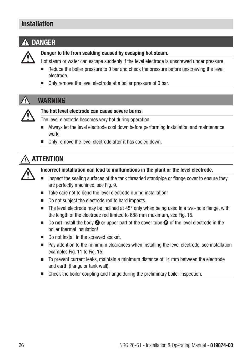### Installation

# DANGER



### Danger to life from scalding caused by escaping hot steam.

- Hot steam or water can escape suddenly if the level electrode is unscrewed under pressure.
- Reduce the boiler pressure to 0 bar and check the pressure before unscrewing the level electrode.
- Only remove the level electrode at a boiler pressure of 0 bar.

### WARNING



### The hot level electrode can cause severe burns.

The level electrode becomes very hot during operation.

- Always let the level electrode cool down before performing installation and maintenance work.
- Only remove the level electrode after it has cooled down.

### **ATTENTION**



### Incorrect installation can lead to malfunctions in the plant or the level electrode.

- Inspect the sealing surfaces of the tank threaded standpipe or flange cover to ensure they are perfectly machined, see Fig. 9.
- Take care not to bend the level electrode during installation!
- Do not subject the electrode rod to hard impacts.
- The level electrode may be inclined at  $45^{\circ}$  only when being used in a two-hole flange, with the length of the electrode rod limited to 688 mm maximum, see Fig. 15.
- Do not install the body  $\bullet$  or upper part of the cover tube  $\bullet$  of the level electrode in the boiler thermal insulation!
- Do not install in the screwed socket.
- Pay attention to the minimum clearances when installing the level electrode, see installation examples Fig. 11 to Fig. 15.
- To prevent current leaks, maintain a minimum distance of 14 mm between the electrode and earth (flange or tank wall).
- Check the boiler coupling and flange during the preliminary boiler inspection.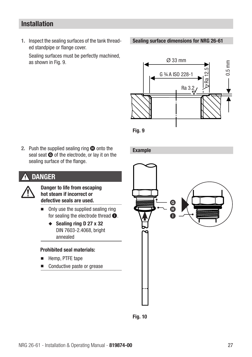### Installation

1. Inspect the sealing surfaces of the tank threaded standpipe or flange cover.

Sealing surfaces must be perfectly machined, as shown in Fig. 9.  $\oslash$  833 mm

Sealing surface dimensions for NRG 26-61





2. Push the supplied sealing ring  $\bullet$  onto the seal seat  $\bigcirc$  of the electrode, or lay it on the sealing surface of the flange.

### DANGER



Danger to life from escaping hot steam if incorrect or defective seals are used.

- Only use the supplied sealing ring for sealing the electrode thread  $\bullet$ .
	- ◆ Sealing ring D 27 x 32 DIN 7603-2.4068, bright annealed

### Prohibited seal materials:

- Hemp, PTFE tape
- Conductive paste or grease

Example



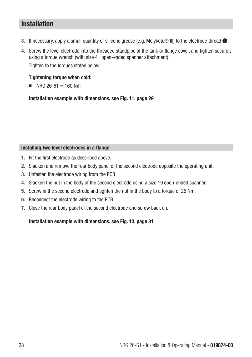### Installation

- 3. If necessary, apply a small quantity of silicone grease (e.g. Molykote® III) to the electrode thread  $\bullet$ .
- 4. Screw the level electrode into the threaded standpipe of the tank or flange cover, and tighten securely using a torque wrench (with size 41 open-ended spanner attachment). Tighten to the torques stated below.

### Tightening torque when cold:

 $N = NFG$  26-61 = 160 Nm

Installation example with dimensions, see Fig. 11, page 29

### Installing two level electrodes in a flange

- 1. Fit the first electrode as described above.
- 2. Slacken and remove the rear body panel of the second electrode opposite the operating unit.
- 3. Unfasten the electrode wiring from the PCB.
- 4. Slacken the nut in the body of the second electrode using a size 19 open-ended spanner.
- 5. Screw in the second electrode and tighten the nut in the body to a torque of 25 Nm.
- 6. Reconnect the electrode wiring to the PCB.
- 7. Close the rear body panel of the second electrode and screw back on.

Installation example with dimensions, see Fig. 13, page 31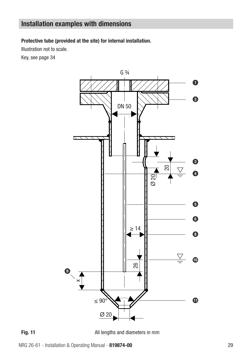Protective tube (provided at the site) for internal installation.

Illustration not to scale.

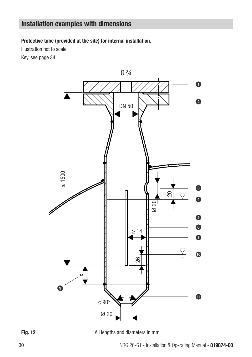Protective tube (provided at the site) for internal installation.

Illustration not to scale.



All lengths and diameters in mm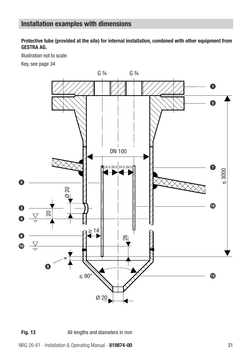Protective tube (provided at the site) for internal installation, combined with other equipment from GESTRA AG.

Illustration not to scale.

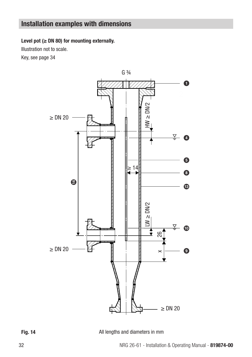Level pot  $(\geq$  DN 80) for mounting externally.

Illustration not to scale.



Fig. 14 **All lengths and diameters in mm**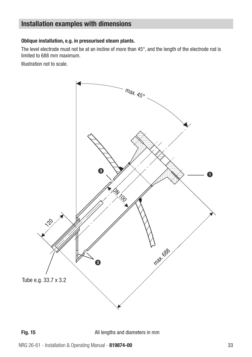### Oblique installation, e.g. in pressurised steam plants.

The level electrode must not be at an incline of more than 45°, and the length of the electrode rod is limited to 688 mm maximum.

Illustration not to scale.



All lengths and diameters in mm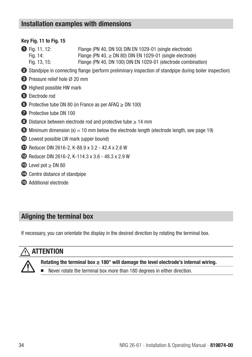### Key Fig. 11 to Fig. 15

- 11, 12: Flange (PN 40, DN 50) DIN EN 1029-01 (single electrode)<br>Fig. 14: Flange (PN 40, > DN 80) DIN EN 1029-01 (single electrode) Flange (PN 40,  $\geq$  DN 80) DIN EN 1029-01 (single electrode) Fig. 13, 15: Flange (PN 40, DN 100) DIN EN 1029-01 (electrode combination)
- 2 Standpipe in connecting flange (perform preliminary inspection of standpipe during boiler inspection)
- **3** Pressure relief hole Ø 20 mm
- **4** Highest possible HW mark
- **5** Flectrode rod
- 6 Protective tube DN 80 (in France as per AFAQ ≥ DN 100)
- **7** Protective tube DN 100
- 8 Distance between electrode rod and protective tube ≥ 14 mm
- $\bullet$  Minimum dimension (x) = 10 mm below the electrode length (electrode length, see page 19)
- 0 Lowest possible LW mark (upper bound)
- **10** Reducer DIN 2616-2, K-88.9 x 3.2 42.4 x 2.6 W
- **12** Reducer DIN 2616-2, K-114.3 x 3.6 48.3 x 2.9 W
- $\bullet$  Level pot  $\geq$  DN 80
- **12** Centre distance of standpipe
- **B** Additional electrode

### Aligning the terminal box

If necessary, you can orientate the display in the desired direction by rotating the terminal box.

### ATTENTION



Rotating the terminal box  $\geq 180^\circ$  will damage the level electrode's internal wiring.

Never rotate the terminal box more than 180 degrees in either direction.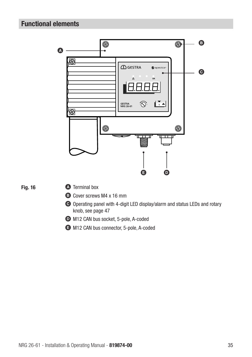### Functional elements



- $\bullet$  M12 CAN bus socket, 5-pole, A-coded
- E M12 CAN bus connector, 5-pole, A-coded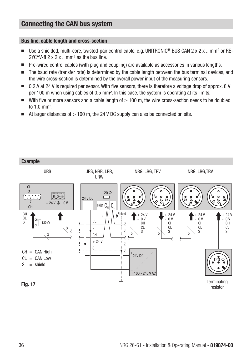### Connecting the CAN bus system

### Bus line, cable length and cross-section

- Use a shielded, multi-core, twisted-pair control cable, e.g. UNITRONIC<sup>®</sup> BUS CAN 2 x 2 x .. mm<sup>2</sup> or RE-2YCYV-fl  $2 \times 2 \times ...$  mm<sup>2</sup> as the bus line.
- Pre-wired control cables (with plug and coupling) are available as accessories in various lengths.
- The baud rate (transfer rate) is determined by the cable length between the bus terminal devices, and the wire cross-section is determined by the overall power input of the measuring sensors.
- 0.2 A at 24 V is required per sensor. With five sensors, there is therefore a voltage drop of approx. 8 V per 100 m when using cables of 0.5 mm². In this case, the system is operating at its limits.
- With five or more sensors and a cable length of ≥ 100 m, the wire cross-section needs to be doubled to 1.0 mm².
- $\blacksquare$  At larger distances of  $> 100$  m, the 24 V DC supply can also be connected on site.

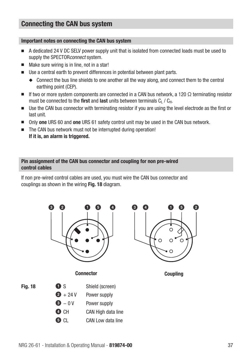### Connecting the CAN bus system

#### Important notes on connecting the CAN bus system

- A dedicated 24 V DC SFLV power supply unit that is isolated from connected loads must be used to supply the SPECTOR*connect* system.
- Make sure wiring is in line, not in a star!
- Use a central earth to prevent differences in potential between plant parts.
	- ◆ Connect the bus line shields to one another all the way along, and connect them to the central earthing point (CEP).
- If two or more system components are connected in a CAN bus network, a 120  $\Omega$  terminating resistor must be connected to the first and last units between terminals  $C_l$  /  $C_H$ .
- Use the CAN bus connector with terminating resistor if you are using the level electrode as the first or last unit.
- Only one URS 60 and one URS 61 safety control unit may be used in the CAN bus network.
- The CAN bus network must not be interrupted during operation! If it is, an alarm is triggered.

#### Pin assignment of the CAN bus connector and coupling for non pre-wired control cables

If non pre-wired control cables are used, you must wire the CAN bus connector and couplings as shown in the wiring Fig. 18 diagram.

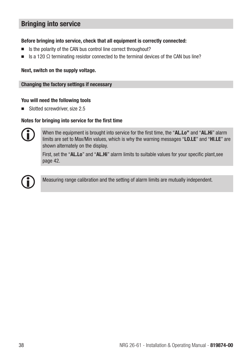### Before bringing into service, check that all equipment is correctly connected:

- Is the polarity of the CAN bus control line correct throughout?
- Is a 120  $\Omega$  terminating resistor connected to the terminal devices of the CAN bus line?

### Next, switch on the supply voltage.

#### Changing the factory settings if necessary

### You will need the following tools

■ Slotted screwdriver, size 2.5

#### Notes for bringing into service for the first time



When the equipment is brought into service for the first time, the "AL.Lo" and "AL.Hi" alarm limits are set to Max/Min values, which is why the warning messages "LO.LE" and "HI.LE" are shown alternately on the display.

First, set the "AL.Lo" and "AL.Hi" alarm limits to suitable values for your specific plant,see page 42.



Measuring range calibration and the setting of alarm limits are mutually independent.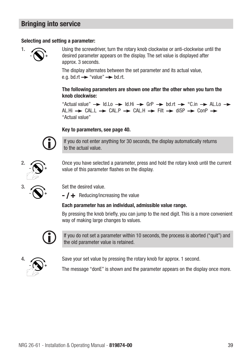### Selecting and setting a parameter:



 Using the screwdriver, turn the rotary knob clockwise or anti-clockwise until the desired parameter appears on the display. The set value is displayed after approx. 3 seconds.

 The display alternates between the set parameter and its actual value, e.g. bd.rt  $\rightarrow$  "value"  $\rightarrow$  bd.rt.

### The following parameters are shown one after the other when you turn the knob clockwise:

"Actual value"  $\rightarrow$  Id.Lo  $\rightarrow$  Id.Hi  $\rightarrow$  GrP  $\rightarrow$  bd.rt  $\rightarrow$  °C.in  $\rightarrow$  AL.Lo  $\rightarrow$ ALLHI  $\rightarrow$  CALL  $\rightarrow$  CALLP  $\rightarrow$  CALLH  $\rightarrow$  Filt  $\rightarrow$  diSP  $\rightarrow$  ConP  $\rightarrow$ "Actual value"

### Key to parameters, see page 40.

If you do not enter anything for 30 seconds, the display automatically returns to the actual value.

Once you have selected a parameter, press and hold the rotary knob until the current value of this parameter flashes on the display.

Set the desired value.

 $\blacktriangleright$  **F** Reducing/increasing the value

### Each parameter has an individual, admissible value range.

By pressing the knob briefly, you can jump to the next digit. This is a more convenient way of making large changes to values.



If you do not set a parameter within 10 seconds, the process is aborted ("quit") and the old parameter value is retained.



Save your set value by pressing the rotary knob for approx. 1 second.

The message "donE" is shown and the parameter appears on the display once more.



<sup>2.</sup>  $\widehat{\mathbb{R}}$ +

3.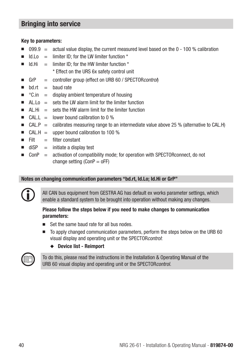### Key to parameters:

- $0.099.9$  = actual value display, the current measured level based on the 0 100 % calibration
- $Id.Lo =$  limiter ID; for the LW limiter function  $*$
- $Id.Hi =$  limiter ID; for the HW limiter function  $*$ 
	- \* Effect on the URS 6x safety control unit
- GrP = controller group (effect on URB 60 / SPECTOR *control*)
- $\blacksquare$  bd.rt  $=$  baud rate
- $°C.in =$  display ambient temperature of housing
- $\blacksquare$  ALLo = sets the LW alarm limit for the limiter function
- $\blacksquare$  AL.Hi = sets the HW alarm limit for the limiter function
- $\blacksquare$  CAL.L = lower bound calibration to 0 %
- CAL.P  $=$  calibrates measuring range to an intermediate value above 25 % (alternative to CAL.H)
- $\blacksquare$  CAL.H = upper bound calibration to 100 %
- $\blacksquare$  Filt  $\blacksquare$  filter constant
- $\text{dS}P = \text{initiate a display test}$
- $\blacksquare$  ConP = activation of compatibility mode; for operation with SPECTORconnect, do not change setting  $(ConP = oFF)$

### Notes on changing communication parameters "bd.rt, Id.Lo; Id.Hi or GrP"

All CAN bus equipment from GESTRA AG has default ex works parameter settings, which enable a standard system to be brought into operation without making any changes.

### Please follow the steps below if you need to make changes to communication parameters:

- Set the same baud rate for all bus nodes
- To apply changed communication parameters, perform the steps below on the URB 60 visual display and operating unit or the SPECTORcontrol:
	- ◆ Device list Reimport



To do this, please read the instructions in the Installation & Operating Manual of the URB 60 visual display and operating unit or the SPECTOR control.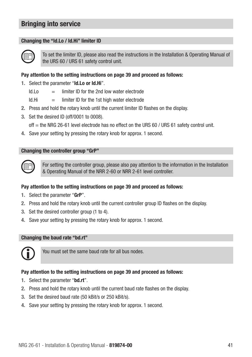### Changing the "Id.Lo / Id.Hi" limiter ID



To set the limiter ID, please also read the instructions in the Installation & Operating Manual of the URS 60 / URS 61 safety control unit.

### Pay attention to the setting instructions on page 39 and proceed as follows:

- 1. Select the parameter "Id.Lo or Id.Hi".
	- $Id.Lo =$  limiter ID for the 2nd low water electrode
	- $Id.Hi =$  limiter ID for the 1st high water electrode
- 2. Press and hold the rotary knob until the current limiter ID flashes on the display.
- 3. Set the desired ID (off/0001 to 0008).
	- off = the NRG 26-61 level electrode has no effect on the URS 60 / URS 61 safety control unit.
- 4. Save your setting by pressing the rotary knob for approx. 1 second.

### Changing the controller group "GrP"



For setting the controller group, please also pay attention to the information in the Installation & Operating Manual of the NRR 2-60 or NRR 2-61 level controller.

### Pay attention to the setting instructions on page 39 and proceed as follows:

- 1. Select the parameter "GrP".
- 2. Press and hold the rotary knob until the current controller group ID flashes on the display.
- 3. Set the desired controller group (1 to 4).
- 4. Save your setting by pressing the rotary knob for approx. 1 second.

### Changing the baud rate "bd.rt"



You must set the same baud rate for all bus nodes.

### Pay attention to the setting instructions on page 39 and proceed as follows:

- 1. Select the parameter "bd.rt".
- 2. Press and hold the rotary knob until the current baud rate flashes on the display.
- 3. Set the desired baud rate (50 kBit/s or 250 kBit/s).
- 4. Save your setting by pressing the rotary knob for approx. 1 second.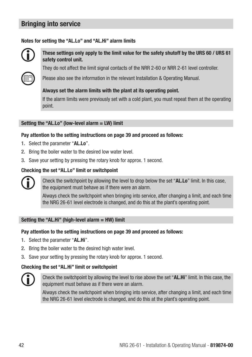### Notes for setting the "AL.Lo" and "AL.Hi" alarm limits



These settings only apply to the limit value for the safety shutoff by the URS 60 / URS 61 safety control unit.

They do not affect the limit signal contacts of the NRR 2-60 or NRR 2-61 level controller.

Please also see the information in the relevant Installation & Operating Manual.

#### Always set the alarm limits with the plant at its operating point.

If the alarm limits were previously set with a cold plant, you must repeat them at the operating point.

#### Setting the "AL.Lo" (low-level alarm = LW) limit

#### Pay attention to the setting instructions on page 39 and proceed as follows:

- 1. Select the parameter "AL.Lo".
- 2. Bring the boiler water to the desired low water level.
- 3. Save your setting by pressing the rotary knob for approx. 1 second.

#### Checking the set "AL.Lo" limit or switchpoint



Check the switchpoint by allowing the level to drop below the set "AL.Lo" limit. In this case, the equipment must behave as if there were an alarm.

Always check the switchpoint when bringing into service, after changing a limit, and each time the NRG 26-61 level electrode is changed, and do this at the plant's operating point.

#### Setting the "AL.Hi" (high-level alarm = HW) limit

#### Pay attention to the setting instructions on page 39 and proceed as follows:

- 1. Select the parameter "AL.Hi".
- 2. Bring the boiler water to the desired high water level.
- 3. Save your setting by pressing the rotary knob for approx. 1 second.

### Checking the set "AL.Hi" limit or switchpoint



Check the switchpoint by allowing the level to rise above the set "AL.Hi" limit. In this case, the equipment must behave as if there were an alarm.

Always check the switchpoint when bringing into service, after changing a limit, and each time the NRG 26-61 level electrode is changed, and do this at the plant's operating point.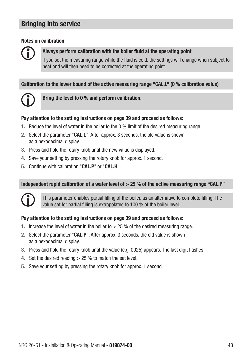### Notes on calibration

### Always perform calibration with the boiler fluid at the operating point

If you set the measuring range while the fluid is cold, the settings will change when subject to heat and will then need to be corrected at the operating point.

### Calibration to the lower bound of the active measuring range "CAL.L" (0 % calibration value)



Bring the level to 0 % and perform calibration.

### Pay attention to the setting instructions on page 39 and proceed as follows:

- 1. Reduce the level of water in the boiler to the 0 % limit of the desired measuring range.
- 2. Select the parameter "CAL.L". After approx. 3 seconds, the old value is shown as a hexadecimal display.
- 3. Press and hold the rotary knob until the new value is displayed.
- 4. Save your setting by pressing the rotary knob for approx. 1 second.
- 5. Continue with calibration "CAL.P" or "CAL.H".

### Independent rapid calibration at a water level of  $>$  25 % of the active measuring range "CAL.P"



This parameter enables partial filling of the boiler, as an alternative to complete filling. The value set for partial filling is extrapolated to 100 % of the boiler level.

### Pay attention to the setting instructions on page 39 and proceed as follows:

- 1. Increase the level of water in the boiler to  $> 25$  % of the desired measuring range.
- 2. Select the parameter "CAL.P". After approx. 3 seconds, the old value is shown as a hexadecimal display.
- 3. Press and hold the rotary knob until the value (e.g. 0025) appears. The last digit flashes.
- 4. Set the desired reading > 25 % to match the set level.
- 5. Save your setting by pressing the rotary knob for approx. 1 second.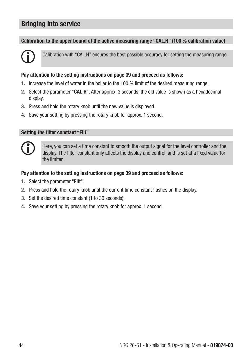#### Calibration to the upper bound of the active measuring range "CAL.H" (100 % calibration value)



Calibration with "CAL.H" ensures the best possible accuracy for setting the measuring range.

#### Pay attention to the setting instructions on page 39 and proceed as follows:

- 1. Increase the level of water in the boiler to the 100 % limit of the desired measuring range.
- 2. Select the parameter "CAL.H". After approx. 3 seconds, the old value is shown as a hexadecimal display.
- 3. Press and hold the rotary knob until the new value is displayed.
- 4. Save your setting by pressing the rotary knob for approx. 1 second.

#### Setting the filter constant "Filt"



Here, you can set a time constant to smooth the output signal for the level controller and the display. The filter constant only affects the display and control, and is set at a fixed value for the limiter.

#### Pay attention to the setting instructions on page 39 and proceed as follows:

- 1. Select the parameter "Filt".
- 2. Press and hold the rotary knob until the current time constant flashes on the display.
- 3. Set the desired time constant (1 to 30 seconds).
- 4. Save your setting by pressing the rotary knob for approx. 1 second.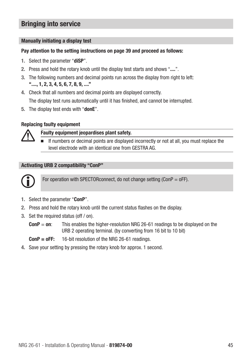### Manually initiating a display test

### Pay attention to the setting instructions on page 39 and proceed as follows:

- 1. Select the parameter "diSP".
- 2. Press and hold the rotary knob until the display test starts and shows "....".
- 3. The following numbers and decimal points run across the display from right to left: "...., 1, 2, 3, 4, 5, 6, 7, 8, 9, ...."
- 4. Check that all numbers and decimal points are displayed correctly. The display test runs automatically until it has finished, and cannot be interrupted.
- 5. The display test ends with "donE".

### Replacing faulty equipment



Faulty equipment jeopardises plant safety.

If numbers or decimal points are displayed incorrectly or not at all, you must replace the level electrode with an identical one from GESTRA AG.

### Activating URB 2 compatibility "ConP"



For operation with SPECTOR connect, do not change setting (ConP =  $o$ FF).

- 1. Select the parameter "ConP".
- 2. Press and hold the rotary knob until the current status flashes on the display.
- 3. Set the required status (off / on).
	- $ConP = on:$  This enables the higher-resolution NRG 26-61 readings to be displayed on the URB 2 operating terminal. (by converting from 16 bit to 10 bit)

 $ConP = oFF: 16-bit resolution of the NRG 26-61 readings.$ 

4. Save your setting by pressing the rotary knob for approx. 1 second.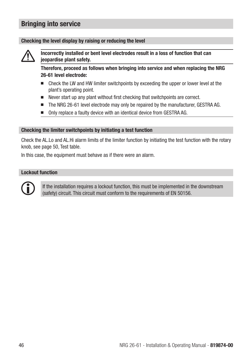#### Checking the level display by raising or reducing the level



Incorrectly installed or bent level electrodes result in a loss of function that can jeopardise plant safety.

Therefore, proceed as follows when bringing into service and when replacing the NRG 26-61 level electrode:

- Check the LW and HW limiter switchpoints by exceeding the upper or lower level at the plant's operating point.
- Never start up any plant without first checking that switchpoints are correct.
- The NRG 26-61 level electrode may only be repaired by the manufacturer, GESTRA AG.
- Only replace a faulty device with an identical device from GESTRA AG.

#### Checking the limiter switchpoints by initiating a test function

Check the AL.Lo and AL.Hi alarm limits of the limiter function by initiating the test function with the rotary knob, see page 50, Test table.

In this case, the equipment must behave as if there were an alarm.

#### Lockout function



If the installation requires a lockout function, this must be implemented in the downstream (safety) circuit. This circuit must conform to the requirements of EN 50156.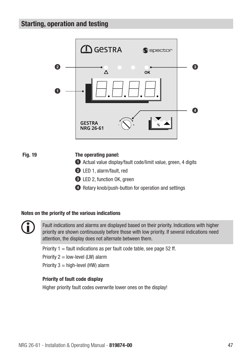

### Fig. 19 The operating panel:

- $\bullet$  Actual value display/fault code/limit value, green, 4 digits
- <sup>2</sup> LED 1, alarm/fault, red
- <sup>3</sup> LED 2, function OK, green
- 4 Rotary knob/push-button for operation and settings

#### Notes on the priority of the various indications



Fault indications and alarms are displayed based on their priority. Indications with higher priority are shown continuously before those with low priority. If several indications need attention, the display does not alternate between them.

Priority  $1 =$  fault indications as per fault code table, see page 52 ff.

Priority  $2 =$  low-level (LW) alarm

Priority  $3 =$  high-level (HW) alarm

### Priority of fault code display

Higher priority fault codes overwrite lower ones on the display!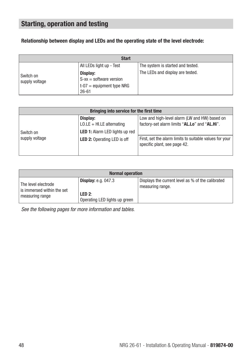### Relationship between display and LEDs and the operating state of the level electrode:

| <b>Start</b>                |                                                                                    |                                   |  |
|-----------------------------|------------------------------------------------------------------------------------|-----------------------------------|--|
|                             | All LEDs light up - Test                                                           | The system is started and tested. |  |
| Switch on<br>supply voltage | Display:<br>$S$ -xx = software version<br>$t-07$ = equipment type NRG<br>$26 - 61$ | The LEDs and display are tested.  |  |

| Bringing into service for the first time |                                                                                   |                                                                                                |  |  |
|------------------------------------------|-----------------------------------------------------------------------------------|------------------------------------------------------------------------------------------------|--|--|
| Switch on                                | Display:<br>$LO.$ LE + HI.LE alternating<br><b>LED 1:</b> Alarm LED lights up red | Low and high-level alarm (LW and HW) based on<br>factory-set alarm limits "AL.Lo" and "AL.Hi". |  |  |
| supply voltage                           | <b>LED 2: Operating LED is off</b>                                                | First, set the alarm limits to suitable values for your<br>specific plant, see page 42.        |  |  |

| <b>Normal operation</b>                           |                                         |                                                                       |  |
|---------------------------------------------------|-----------------------------------------|-----------------------------------------------------------------------|--|
| The level electrode<br>is immersed within the set | Display: $e.q.047.3$                    | Displays the current level as % of the calibrated<br>measuring range. |  |
| measuring range                                   | LED 2:<br>Operating LED lights up green |                                                                       |  |

*See the following pages for more information and tables.*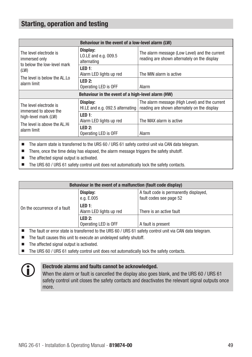| Behaviour in the event of a low-level alarm (LW)                       |                                                 |                                                                                                |
|------------------------------------------------------------------------|-------------------------------------------------|------------------------------------------------------------------------------------------------|
| The level electrode is<br>immersed only<br>to below the low-level mark | Display:<br>LO.LE and e.g. 009.5<br>alternating | The alarm message (Low Level) and the current<br>reading are shown alternately on the display  |
| (LW)                                                                   | LED 1:<br>Alarm LED lights up red               | The MIN alarm is active                                                                        |
| The level is below the AL.Lo<br>alarm limit                            | LED 2:<br>Operating LED is OFF                  | Alarm                                                                                          |
| Behaviour in the event of a high-level alarm (HW)                      |                                                 |                                                                                                |
| The level electrode is<br>immersed to above the                        | Display:<br>HI.LE and e.g. 092.5 alternating    | The alarm message (High Level) and the current<br>reading are shown alternately on the display |
| high-level mark (LW)                                                   | LED 1:<br>Alarm LED lights up red               | The MAX alarm is active                                                                        |
| The level is above the AL.Hi<br>alarm limit                            | LED 2:<br>Operating LED is OFF                  | Alarm                                                                                          |

■ The alarm state is transferred to the URS 60 / URS 61 safety control unit via CAN data telegram.

- There, once the time delay has elapsed, the alarm message triggers the safety shutoff.
- The affected signal output is activated.
- The URS 60 / URS 61 safety control unit does not automatically lock the safety contacts.

| Behaviour in the event of a malfunction (fault code display)    |                                   |                                                                   |
|-----------------------------------------------------------------|-----------------------------------|-------------------------------------------------------------------|
|                                                                 | Display:<br>e.g. E.005            | A fault code is permanently displayed,<br>fault codes see page 52 |
| On the occurrence of a fault                                    | LED 1:<br>Alarm LED lights up red | There is an active fault                                          |
|                                                                 | LED 2:<br>Operating LED is OFF    | A fault is present                                                |
| $\cdots$ $\cdots$ $\cdots$ $\cdots$ $\cdots$ $\cdots$<br>.<br>. |                                   |                                                                   |

The fault or error state is transferred to the URS 60 / URS 61 safety control unit via CAN data telegram.

- The fault causes this unit to execute an undelayed safety shutoff.
- The affected signal output is activated.
- The URS 60 / URS 61 safety control unit does not automatically lock the safety contacts.



#### Electrode alarms and faults cannot be acknowledged.

When the alarm or fault is cancelled the display also goes blank, and the URS 60 / URS 61 safety control unit closes the safety contacts and deactivates the relevant signal outputs once more.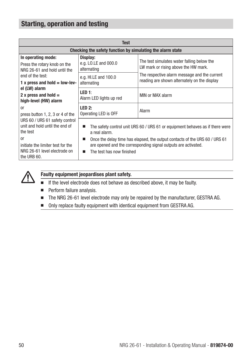| <b>Test</b>                                                                                       |                                                                                                                                                                                 |                                                                                              |
|---------------------------------------------------------------------------------------------------|---------------------------------------------------------------------------------------------------------------------------------------------------------------------------------|----------------------------------------------------------------------------------------------|
| Checking the safety function by simulating the alarm state                                        |                                                                                                                                                                                 |                                                                                              |
| In operating mode:<br>Press the rotary knob on the<br>NRG 26-61 and hold until the                | Display:<br>e.g. LO.LE and 000.0<br>alternating                                                                                                                                 | The test simulates water falling below the<br>LW mark or rising above the HW mark.           |
| end of the test:<br>1 x press and hold $=$ low-lev-                                               | e.g. HI.LE and 100.0<br>alternating                                                                                                                                             | The respective alarm message and the current<br>reading are shown alternately on the display |
| el (LW) alarm<br>2 x press and hold $=$<br>high-level (HW) alarm                                  | LED 1:<br>Alarm LED lights up red                                                                                                                                               | MIN or MAX alarm                                                                             |
| <sub>0r</sub><br>press button 1, 2, 3 or 4 of the                                                 | LED 2:<br>Operating LED is OFF                                                                                                                                                  | Alarm                                                                                        |
| URS 60 / URS 61 safety control<br>unit and hold until the end of<br>the test                      | a real alarm.                                                                                                                                                                   | The safety control unit URS 60 / URS 61 or equipment behaves as if there were                |
| <sub>0r</sub><br>initiate the limiter test for the<br>NRG 26-61 level electrode on<br>the URB 60. | Once the delay time has elapsed, the output contacts of the URS 60 / URS 61<br>П<br>are opened and the corresponding signal outputs are activated.<br>The test has now finished |                                                                                              |



### Faulty equipment jeopardises plant safety.

- If the level electrode does not behave as described above, it may be faulty.
- Perform failure analysis.
- The NRG 26-61 level electrode may only be repaired by the manufacturer, GESTRA AG.
- Only replace faulty equipment with identical equipment from GESTRA AG.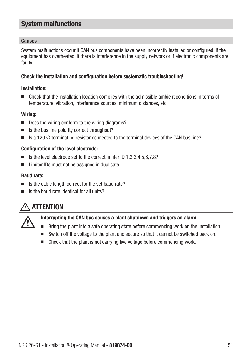#### **Causes**

System malfunctions occur if CAN bus components have been incorrectly installed or configured, if the equipment has overheated, if there is interference in the supply network or if electronic components are faulty.

### Check the installation and configuration before systematic troubleshooting!

### Installation:

■ Check that the installation location complies with the admissible ambient conditions in terms of temperature, vibration, interference sources, minimum distances, etc.

### Wiring:

- Does the wiring conform to the wiring diagrams?
- Is the bus line polarity correct throughout?
- $\blacksquare$  Is a 120  $\Omega$  terminating resistor connected to the terminal devices of the CAN bus line?

### Configuration of the level electrode:

- Is the level electrode set to the correct limiter ID 1,2,3,4,5,6,7,8?
- Limiter IDs must not be assigned in duplicate.

### Baud rate:

- Is the cable length correct for the set baud rate?
- Is the baud rate identical for all units?

### $\hat{\wedge}$  attention

### Interrupting the CAN bus causes a plant shutdown and triggers an alarm.

- Bring the plant into a safe operating state before commencing work on the installation.
- Switch off the voltage to the plant and secure so that it cannot be switched back on.
- Check that the plant is not carrying live voltage before commencing work.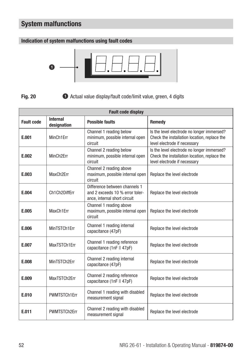### Indication of system malfunctions using fault codes



Fig. 20

 $\bullet$  Actual value display/fault code/limit value, green, 4 digits

| <b>Fault code display</b> |                                |                                                                                                  |                                                                                                                            |
|---------------------------|--------------------------------|--------------------------------------------------------------------------------------------------|----------------------------------------------------------------------------------------------------------------------------|
| <b>Fault code</b>         | <b>Internal</b><br>designation | <b>Possible faults</b>                                                                           | Remedy                                                                                                                     |
| E.001                     | MinCh1Err                      | Channel 1 reading below<br>minimum, possible internal open<br>circuit                            | Is the level electrode no longer immersed?<br>Check the installation location, replace the<br>level electrode if necessary |
| E.002                     | MinCh <sub>2Frr</sub>          | Channel 2 reading below<br>minimum, possible internal open<br>circuit                            | Is the level electrode no longer immersed?<br>Check the installation location, replace the<br>level electrode if necessary |
| E.003                     | MaxCh2Err                      | Channel 2 reading above<br>maximum, possible internal open<br>circuit                            | Replace the level electrode                                                                                                |
| E.004                     | Ch1Ch2DiffErr                  | Difference between channels 1<br>and 2 exceeds 10 % error toler-<br>ance, internal short circuit | Replace the level electrode                                                                                                |
| E.005                     | MaxCh1Err                      | Channel 1 reading above<br>maximum, possible internal open<br>circuit                            | Replace the level electrode                                                                                                |
| E.006                     | MinTSTCh1Err                   | Channel 1 reading internal<br>capacitance (47pF)                                                 | Replace the level electrode                                                                                                |
| E.007                     | MaxTSTCh1Err                   | Channel 1 reading reference<br>capacitance (1nF II 47pF)                                         | Replace the level electrode                                                                                                |
| E.008                     | MinTSTCh2Err                   | Channel 2 reading internal<br>capacitance (47pF)                                                 | Replace the level electrode                                                                                                |
| E.009                     | MaxTSTCh2Err                   | Channel 2 reading reference<br>capacitance (1nF II 47pF)                                         | Replace the level electrode                                                                                                |
| E.010                     | PWMTSTCh1Err                   | Channel 1 reading with disabled<br>measurement signal                                            | Replace the level electrode                                                                                                |
| E.011                     | PWMTSTCh2Frr                   | Channel 2 reading with disabled<br>measurement signal                                            | Replace the level electrode                                                                                                |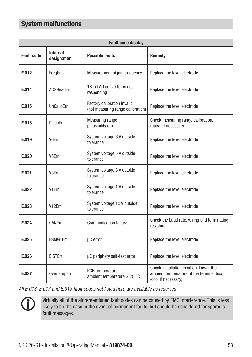| <b>Fault code display</b> |                                |                                                                  |                                                                                                          |
|---------------------------|--------------------------------|------------------------------------------------------------------|----------------------------------------------------------------------------------------------------------|
| <b>Fault code</b>         | <b>Internal</b><br>designation | <b>Possible faults</b>                                           | Remedy                                                                                                   |
| E.012                     | FreqErr                        | Measurement signal frequency                                     | Replace the level electrode                                                                              |
| E.014                     | ADSReadErr                     | 16-bit AD converter is not<br>responding                         | Replace the level electrode                                                                              |
| E.015                     | <b>UnCalibErr</b>              | Factory calibration invalid<br>(not measuring range calibration) | Replace the level electrode                                                                              |
| E.016                     | PlausErr                       | Measuring range<br>plausibility error                            | Check measuring range calibration,<br>repeat if necessary                                                |
| E.019                     | V6Err                          | System voltage 6 V outside<br>tolerance                          | Replace the level electrode                                                                              |
| E.020                     | V <sub>5</sub> Err             | System voltage 5 V outside<br>tolerance                          | Replace the level electrode                                                                              |
| E.021                     | V3Err                          | System voltage 3 V outside<br>tolerance                          | Replace the level electrode                                                                              |
| E.022                     | V <sub>1</sub> Err             | System voltage 1 V outside<br>tolerance                          | Replace the level electrode                                                                              |
| E.023                     | V12Err                         | System voltage 12 V outside<br>tolerance                         | Replace the level electrode                                                                              |
| E.024                     | CANErr                         | <b>Communication failure</b>                                     | Check the baud rate, wiring and terminating<br>resistors                                                 |
| E.025                     | <b>ESMG1Err</b>                | µC error                                                         | Replace the level electrode                                                                              |
| E.026                     | <b>BISTErr</b>                 | µC periphery self-test error                                     | Replace the level electrode                                                                              |
| E.027                     | OvertempErr                    | PCB temperature.<br>ambient temperature $>$ 75 °C                | Check installation location. Lower the<br>ambient temperature of the terminal box<br>(cool if necessary) |

*All E.013, E.017 and E.018 fault codes not listed here are available as reserves*

 $\mathbf{f}$ 

Virtually all of the aforementioned fault codes can be caused by EMC interference. This is less likely to be the case in the event of permanent faults, but should be considered for sporadic fault messages.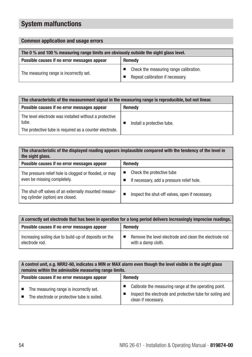### Common application and usage errors

| The 0 % and 100 % measuring range limits are obviously outside the sight glass level. |                                                                            |
|---------------------------------------------------------------------------------------|----------------------------------------------------------------------------|
| Possible causes if no error messages appear                                           | Remedy                                                                     |
| The measuring range is incorrectly set.                                               | Check the measuring range calibration.<br>Repeat calibration if necessary. |

| The characteristic of the measurement signal in the measuring range is reproducible, but not linear,                       |                            |
|----------------------------------------------------------------------------------------------------------------------------|----------------------------|
| Possible causes if no error messages appear                                                                                | <b>Remedy</b>              |
| The level electrode was installed without a protective<br>tube.<br>The protective tube is required as a counter electrode. | Install a protective tube. |

| The characteristic of the displayed reading appears implausible compared with the tendency of the level in<br>the sight glass. |                                                                        |  |
|--------------------------------------------------------------------------------------------------------------------------------|------------------------------------------------------------------------|--|
| Possible causes if no error messages appear                                                                                    | Remedy                                                                 |  |
| The pressure relief hole is clogged or flooded, or may<br>even be missing completely.                                          | Check the protective tube<br>If necessary, add a pressure relief hole. |  |
| The shut-off valves of an externally mounted measur-<br>ing cylinder (option) are closed.                                      | Inspect the shut-off valves, open if necessary.                        |  |

| A correctly set electrode that has been in operation for a long period delivers increasingly imprecise readings. |                                                                              |  |
|------------------------------------------------------------------------------------------------------------------|------------------------------------------------------------------------------|--|
| Possible causes if no error messages appear                                                                      | Remedy                                                                       |  |
| Increasing soiling due to build-up of deposits on the<br>electrode rod.                                          | Remove the level electrode and clean the electrode rod<br>with a damp cloth. |  |

| A control unit, e.g. NRR2-60, indicates a MIN or MAX alarm even though the level visible in the sight glass<br>remains within the admissible measuring range limits. |                                                                                                                                           |  |
|----------------------------------------------------------------------------------------------------------------------------------------------------------------------|-------------------------------------------------------------------------------------------------------------------------------------------|--|
| Possible causes if no error messages appear                                                                                                                          | Remedy                                                                                                                                    |  |
| The measuring range is incorrectly set.<br>The electrode or protective tube is soiled.                                                                               | Calibrate the measuring range at the operating point.<br>Inspect the electrode and protective tube for soiling and<br>clean if necessary. |  |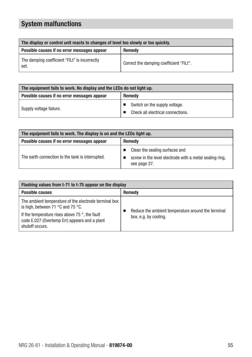| The display or control unit reacts to changes of level too slowly or too quickly. |                                         |
|-----------------------------------------------------------------------------------|-----------------------------------------|
| Possible causes if no error messages appear                                       | <b>Remedy</b>                           |
| The damping coefficient "FiLt" is incorrectly<br>set.                             | Correct the damping coefficient "FiLt". |

| The equipment fails to work. No display and the LEDs do not light up. |                                                                    |  |
|-----------------------------------------------------------------------|--------------------------------------------------------------------|--|
| Possible causes if no error messages appear                           | Remedy                                                             |  |
| Supply voltage failure.                                               | Switch on the supply voltage.<br>Check all electrical connections. |  |

| The equipment fails to work. The display is on and the LEDs light up. |                                                                                                           |  |
|-----------------------------------------------------------------------|-----------------------------------------------------------------------------------------------------------|--|
| Possible causes if no error messages appear                           | Remedy                                                                                                    |  |
| The earth connection to the tank is interrupted.                      | Clean the sealing surfaces and<br>screw in the level electrode with a metal sealing ring.<br>see page 27. |  |

| Flashing values from t-71 to t-75 appear on the display                                                                                                                                                                                     |                                                                             |
|---------------------------------------------------------------------------------------------------------------------------------------------------------------------------------------------------------------------------------------------|-----------------------------------------------------------------------------|
| <b>Possible causes</b>                                                                                                                                                                                                                      | <b>Remedy</b>                                                               |
| The ambient temperature of the electrode terminal box<br>is high, between 71 $\degree$ C and 75 $\degree$ C.<br>If the temperature rises above 75 $\degree$ , the fault<br>code E.027 (Overtemp Err) appears and a plant<br>shutoff occurs. | Reduce the ambient temperature around the terminal<br>box, e.g. by cooling. |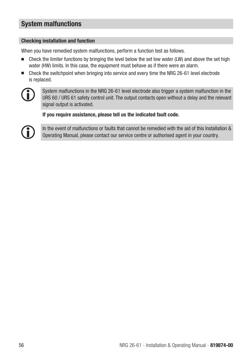### Checking installation and function

When you have remedied system malfunctions, perform a function test as follows.

- Check the limiter functions by bringing the level below the set low water (LW) and above the set high water (HW) limits. In this case, the equipment must behave as if there were an alarm.
- Check the switchpoint when bringing into service and every time the NRG 26-61 level electrode is replaced.



System malfunctions in the NRG 26-61 level electrode also trigger a system malfunction in the URS 60 / URS 61 safety control unit. The output contacts open without a delay and the relevant signal output is activated.

If you require assistance, please tell us the indicated fault code.



In the event of malfunctions or faults that cannot be remedied with the aid of this Installation & Operating Manual, please contact our service centre or authorised agent in your country.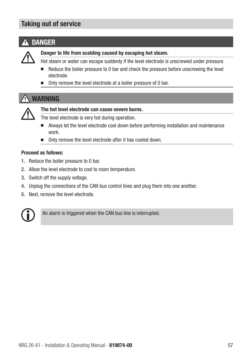### Taking out of service

# **A** DANGER



Danger to life from scalding caused by escaping hot steam.

- Hot steam or water can escape suddenly if the level electrode is unscrewed under pressure.
- Reduce the boiler pressure to 0 bar and check the pressure before unscrewing the level electrode.
- Only remove the level electrode at a boiler pressure of 0 bar.

### WARNING



### The hot level electrode can cause severe burns.

The level electrode is very hot during operation.

- Always let the level electrode cool down before performing installation and maintenance work.
- Only remove the level electrode after it has cooled down.

#### Proceed as follows:

- 1. Reduce the boiler pressure to 0 bar.
- 2. Allow the level electrode to cool to room temperature.
- 3. Switch off the supply voltage.
- 4. Unplug the connections of the CAN bus control lines and plug them into one another.
- 5. Next, remove the level electrode.



An alarm is triggered when the CAN bus line is interrupted.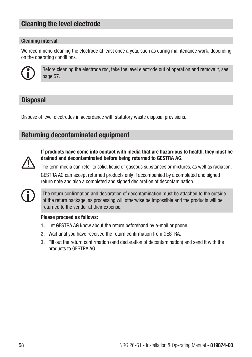### Cleaning the level electrode

### Cleaning interval

We recommend cleaning the electrode at least once a year, such as during maintenance work, depending on the operating conditions.



Before cleaning the electrode rod, take the level electrode out of operation and remove it, see page 57.

### **Disposal**

Dispose of level electrodes in accordance with statutory waste disposal provisions.

### Returning decontaminated equipment



If products have come into contact with media that are hazardous to health, they must be drained and decontaminated before being returned to GESTRA AG.

The term media can refer to solid, liquid or gaseous substances or mixtures, as well as radiation. GESTRA AG can accept returned products only if accompanied by a completed and signed return note and also a completed and signed declaration of decontamination.



The return confirmation and declaration of decontamination must be attached to the outside of the return package, as processing will otherwise be impossible and the products will be returned to the sender at their expense.

### Please proceed as follows:

- 1. Let GESTRA AG know about the return beforehand by e-mail or phone.
- 2. Wait until you have received the return confirmation from GESTRA.
- 3. Fill out the return confirmation (and declaration of decontamination) and send it with the products to GESTRA AG.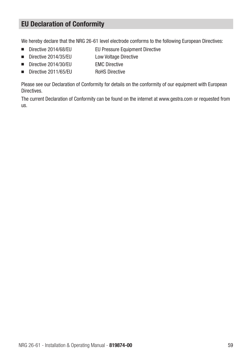### EU Declaration of Conformity

We hereby declare that the NRG 26-61 level electrode conforms to the following European Directives:

- Directive 2014/68/EU EU Pressure Equipment Directive
- Directive 2014/35/EU Low Voltage Directive
- Directive 2014/30/EU EMC Directive
- Directive 2011/65/EU RoHS Directive

Please see our Declaration of Conformity for details on the conformity of our equipment with European Directives.

The current Declaration of Conformity can be found on the internet at www.gestra.com or requested from us.